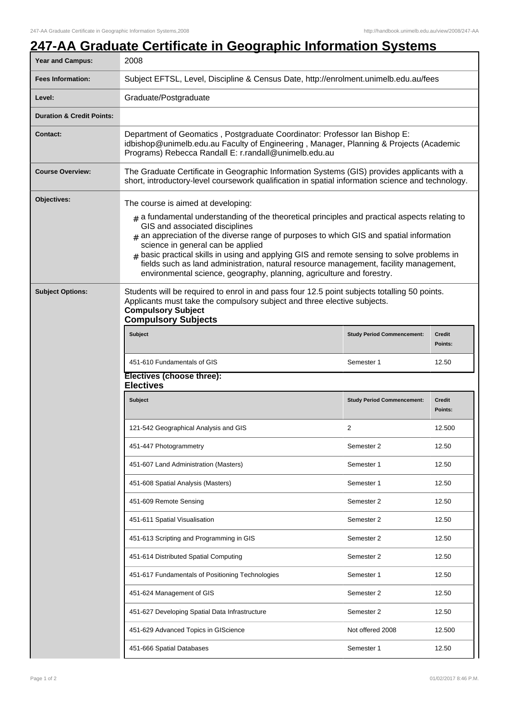## **247-AA Graduate Certificate in Geographic Information Systems**

| <b>Year and Campus:</b>              | 2008                                                                                                                                                                                                                                                                                                                                                                                                                               |                                   |                          |  |
|--------------------------------------|------------------------------------------------------------------------------------------------------------------------------------------------------------------------------------------------------------------------------------------------------------------------------------------------------------------------------------------------------------------------------------------------------------------------------------|-----------------------------------|--------------------------|--|
| <b>Fees Information:</b>             | Subject EFTSL, Level, Discipline & Census Date, http://enrolment.unimelb.edu.au/fees                                                                                                                                                                                                                                                                                                                                               |                                   |                          |  |
| Level:                               | Graduate/Postgraduate                                                                                                                                                                                                                                                                                                                                                                                                              |                                   |                          |  |
| <b>Duration &amp; Credit Points:</b> |                                                                                                                                                                                                                                                                                                                                                                                                                                    |                                   |                          |  |
| <b>Contact:</b>                      | Department of Geomatics, Postgraduate Coordinator: Professor Ian Bishop E:<br>idbishop@unimelb.edu.au Faculty of Engineering, Manager, Planning & Projects (Academic<br>Programs) Rebecca Randall E: r.randall@unimelb.edu.au                                                                                                                                                                                                      |                                   |                          |  |
| <b>Course Overview:</b>              | The Graduate Certificate in Geographic Information Systems (GIS) provides applicants with a<br>short, introductory-level coursework qualification in spatial information science and technology.                                                                                                                                                                                                                                   |                                   |                          |  |
| Objectives:                          | The course is aimed at developing:<br>$_{\#}$ a fundamental understanding of the theoretical principles and practical aspects relating to                                                                                                                                                                                                                                                                                          |                                   |                          |  |
|                                      | GIS and associated disciplines<br>$*$ an appreciation of the diverse range of purposes to which GIS and spatial information<br>science in general can be applied<br>$#$ basic practical skills in using and applying GIS and remote sensing to solve problems in<br>fields such as land administration, natural resource management, facility management,<br>environmental science, geography, planning, agriculture and forestry. |                                   |                          |  |
| <b>Subject Options:</b>              | Students will be required to enrol in and pass four 12.5 point subjects totalling 50 points.<br>Applicants must take the compulsory subject and three elective subjects.<br><b>Compulsory Subject</b><br><b>Compulsory Subjects</b>                                                                                                                                                                                                |                                   |                          |  |
|                                      | <b>Subject</b>                                                                                                                                                                                                                                                                                                                                                                                                                     | <b>Study Period Commencement:</b> | <b>Credit</b><br>Points: |  |
|                                      | 451-610 Fundamentals of GIS                                                                                                                                                                                                                                                                                                                                                                                                        | Semester 1                        | 12.50                    |  |
|                                      | Electives (choose three):<br><b>Electives</b>                                                                                                                                                                                                                                                                                                                                                                                      |                                   |                          |  |
|                                      | <b>Subject</b>                                                                                                                                                                                                                                                                                                                                                                                                                     | <b>Study Period Commencement:</b> | <b>Credit</b><br>Points: |  |
|                                      | 121-542 Geographical Analysis and GIS                                                                                                                                                                                                                                                                                                                                                                                              | 2                                 | 12.500                   |  |
|                                      | 451-447 Photogrammetry                                                                                                                                                                                                                                                                                                                                                                                                             | Semester 2                        | 12.50                    |  |
|                                      | 451-607 Land Administration (Masters)                                                                                                                                                                                                                                                                                                                                                                                              | Semester 1                        | 12.50                    |  |
|                                      | 451-608 Spatial Analysis (Masters)                                                                                                                                                                                                                                                                                                                                                                                                 | Semester 1                        | 12.50                    |  |
|                                      | 451-609 Remote Sensing                                                                                                                                                                                                                                                                                                                                                                                                             | Semester 2                        | 12.50                    |  |
|                                      | 451-611 Spatial Visualisation                                                                                                                                                                                                                                                                                                                                                                                                      | Semester 2                        | 12.50                    |  |
|                                      | 451-613 Scripting and Programming in GIS                                                                                                                                                                                                                                                                                                                                                                                           | Semester 2                        | 12.50                    |  |
|                                      | 451-614 Distributed Spatial Computing                                                                                                                                                                                                                                                                                                                                                                                              | Semester 2                        | 12.50                    |  |
|                                      | 451-617 Fundamentals of Positioning Technologies                                                                                                                                                                                                                                                                                                                                                                                   | Semester 1                        | 12.50                    |  |
|                                      | 451-624 Management of GIS                                                                                                                                                                                                                                                                                                                                                                                                          | Semester 2                        | 12.50                    |  |
|                                      | 451-627 Developing Spatial Data Infrastructure                                                                                                                                                                                                                                                                                                                                                                                     | Semester 2                        | 12.50                    |  |
|                                      | 451-629 Advanced Topics in GIScience                                                                                                                                                                                                                                                                                                                                                                                               | Not offered 2008                  | 12.500                   |  |
|                                      | 451-666 Spatial Databases                                                                                                                                                                                                                                                                                                                                                                                                          | Semester 1                        | 12.50                    |  |